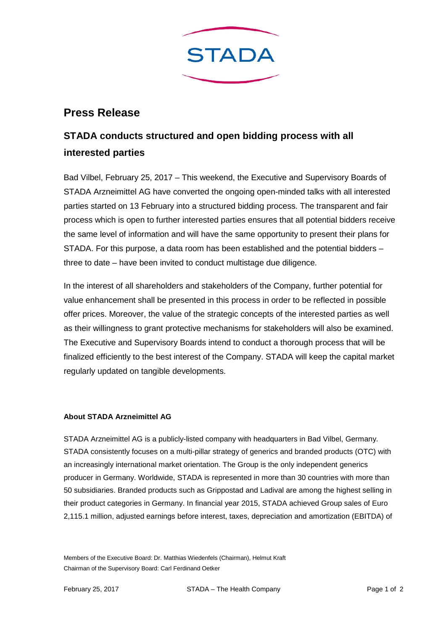

## **Press Release**

## **STADA conducts structured and open bidding process with all interested parties**

Bad Vilbel, February 25, 2017 – This weekend, the Executive and Supervisory Boards of STADA Arzneimittel AG have converted the ongoing open-minded talks with all interested parties started on 13 February into a structured bidding process. The transparent and fair process which is open to further interested parties ensures that all potential bidders receive the same level of information and will have the same opportunity to present their plans for STADA. For this purpose, a data room has been established and the potential bidders – three to date – have been invited to conduct multistage due diligence.

In the interest of all shareholders and stakeholders of the Company, further potential for value enhancement shall be presented in this process in order to be reflected in possible offer prices. Moreover, the value of the strategic concepts of the interested parties as well as their willingness to grant protective mechanisms for stakeholders will also be examined. The Executive and Supervisory Boards intend to conduct a thorough process that will be finalized efficiently to the best interest of the Company. STADA will keep the capital market regularly updated on tangible developments.

## **About STADA Arzneimittel AG**

STADA Arzneimittel AG is a publicly-listed company with headquarters in Bad Vilbel, Germany. STADA consistently focuses on a multi-pillar strategy of generics and branded products (OTC) with an increasingly international market orientation. The Group is the only independent generics producer in Germany. Worldwide, STADA is represented in more than 30 countries with more than 50 subsidiaries. Branded products such as Grippostad and Ladival are among the highest selling in their product categories in Germany. In financial year 2015, STADA achieved Group sales of Euro 2,115.1 million, adjusted earnings before interest, taxes, depreciation and amortization (EBITDA) of

Members of the Executive Board: Dr. Matthias Wiedenfels (Chairman), Helmut Kraft Chairman of the Supervisory Board: Carl Ferdinand Oetker